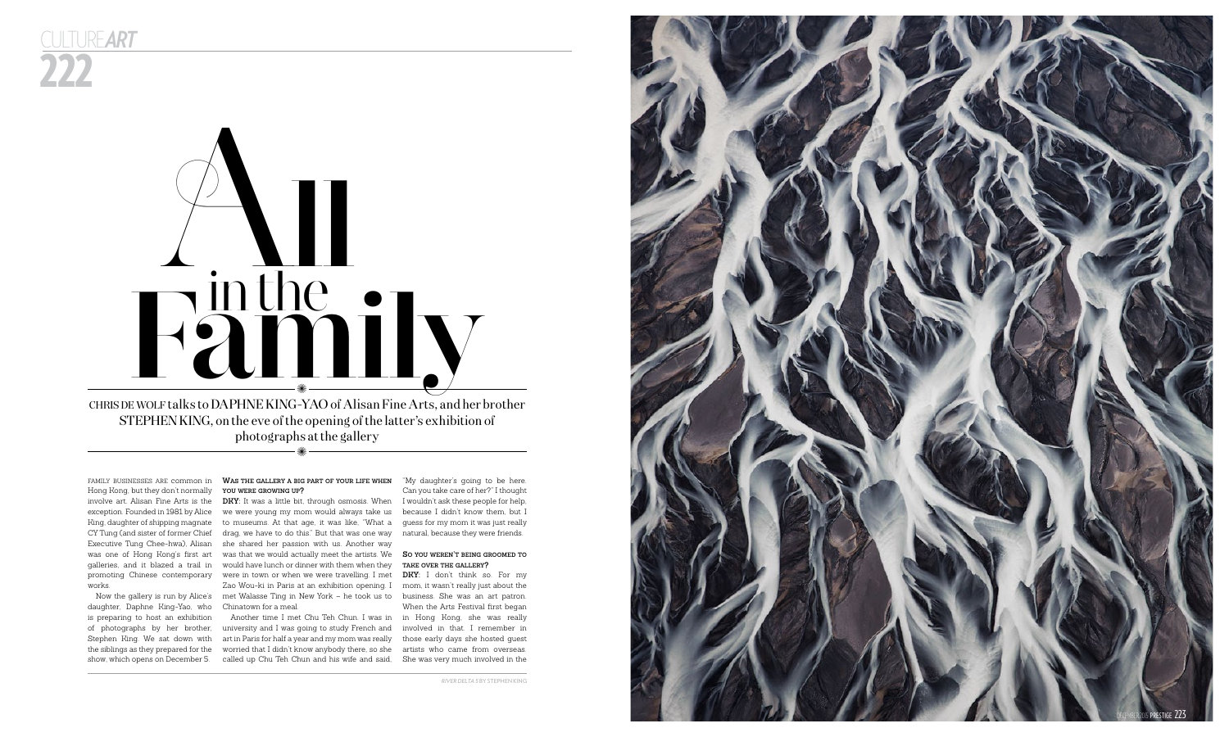

Hong Kong, but they don't normally **you were gro wing up ?** works.

222 culture *art*

# family businesses are common in **Was the gallery a big part of your life when**



STEPHEN KING, on the eve of the opening of the latter's exhibition of

daughter, Daphne King-Yao, who Chinatown for a meal.

involve art. Alisan Fine Arts is the **DKY:** It was a little bit, through osmosis. When exception. Founded in 1981 by Alice we were young my mom would always take us King, daughter of shipping magnate to museums. At that age, it was like, "What a guess for my mom it was just really CY Tung (and sister of former Chief k drag, we have to do this." But that was one way knatural, because they were friends. Executive Tung Chee-hwa), Alisan she shared her passion with us. Another way was one of Hong Kong's first art was that we would actually meet the artists. We **So you weren't being groomed to** galleries, and it blazed a trail in would have lunch or dinner with them when they **take over the gallery ?** promoting Chinese contemporary were in town or when we were travelling. I met **DKY:** I don't think so. For my Now the gallery is run by Alice's met Walasse Ting in New York – he took us to business. She was an art patron. Zao Wou-ki in Paris at an exhibition opening. I mom, it wasn't really just about the

is preparing to host an exhibition Another time I met Chu Teh Chun. I was in in Hong Kong, she was really of photographs by her brother, university and I was going to study French and involved in that. I remember in Stephen King. We sat down with art in Paris for half a year and my mom was really those early days she hosted guest the siblings as they prepared for the worried that I didn't know anybody there, so she artists who came from overseas. show, which opens on December 5. called up Chu Teh Chun and his wife and said, She was very much involved in the

"My daughter's going to be here. Can you take care of her?" I thought I wouldn't ask these people for help, because I didn't know them, but I

When the Arts Festival first began